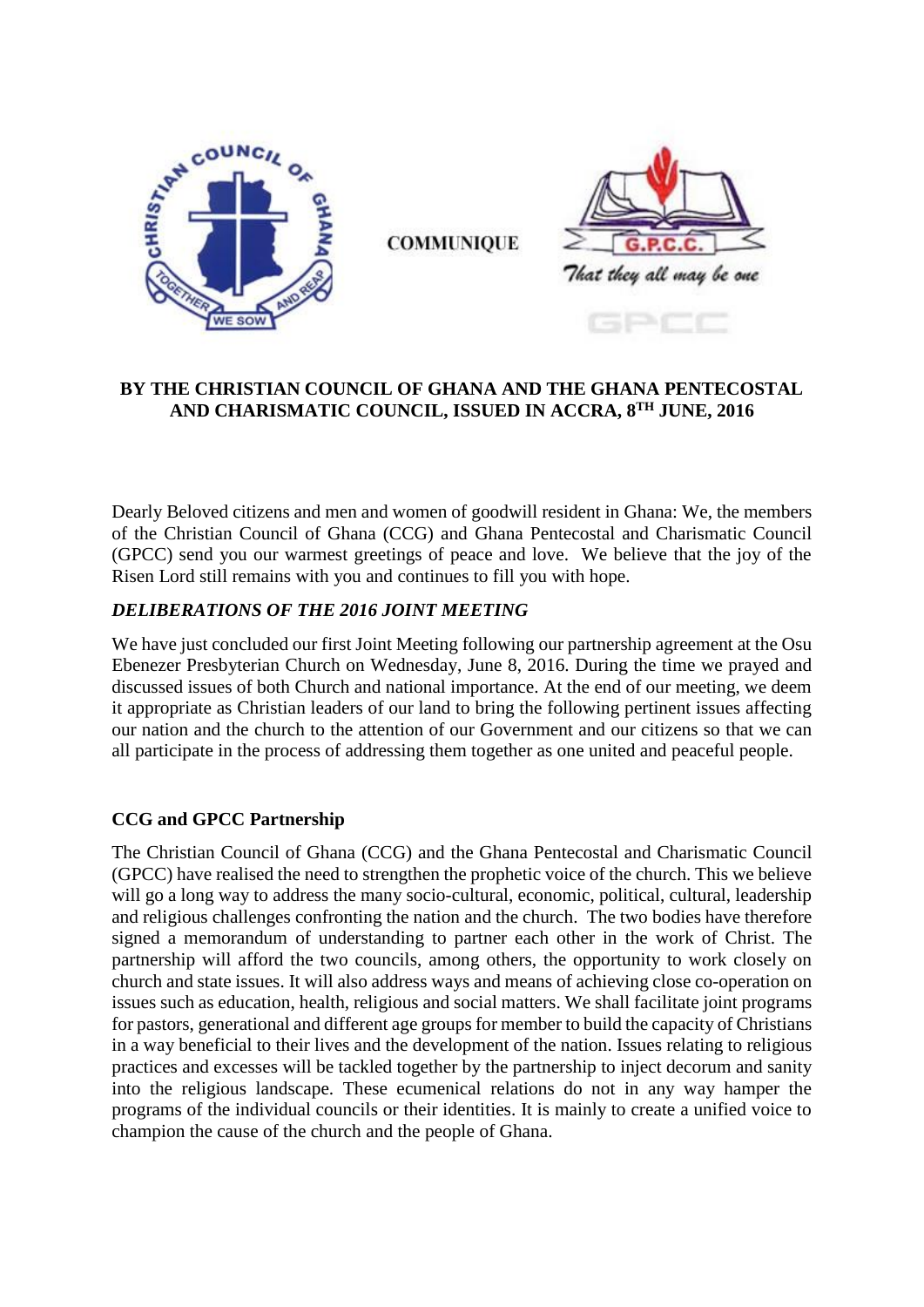

**COMMUNIOUE** 



### **BY THE CHRISTIAN COUNCIL OF GHANA AND THE GHANA PENTECOSTAL AND CHARISMATIC COUNCIL, ISSUED IN ACCRA, 8TH JUNE, 2016**

Dearly Beloved citizens and men and women of goodwill resident in Ghana: We, the members of the Christian Council of Ghana (CCG) and Ghana Pentecostal and Charismatic Council (GPCC) send you our warmest greetings of peace and love. We believe that the joy of the Risen Lord still remains with you and continues to fill you with hope.

## *DELIBERATIONS OF THE 2016 JOINT MEETING*

We have just concluded our first Joint Meeting following our partnership agreement at the Osu Ebenezer Presbyterian Church on Wednesday, June 8, 2016. During the time we prayed and discussed issues of both Church and national importance. At the end of our meeting, we deem it appropriate as Christian leaders of our land to bring the following pertinent issues affecting our nation and the church to the attention of our Government and our citizens so that we can all participate in the process of addressing them together as one united and peaceful people.

# **CCG and GPCC Partnership**

The Christian Council of Ghana (CCG) and the Ghana Pentecostal and Charismatic Council (GPCC) have realised the need to strengthen the prophetic voice of the church. This we believe will go a long way to address the many socio-cultural, economic, political, cultural, leadership and religious challenges confronting the nation and the church. The two bodies have therefore signed a memorandum of understanding to partner each other in the work of Christ. The partnership will afford the two councils, among others, the opportunity to work closely on church and state issues. It will also address ways and means of achieving close co-operation on issues such as education, health, religious and social matters. We shall facilitate joint programs for pastors, generational and different age groups for member to build the capacity of Christians in a way beneficial to their lives and the development of the nation. Issues relating to religious practices and excesses will be tackled together by the partnership to inject decorum and sanity into the religious landscape. These ecumenical relations do not in any way hamper the programs of the individual councils or their identities. It is mainly to create a unified voice to champion the cause of the church and the people of Ghana.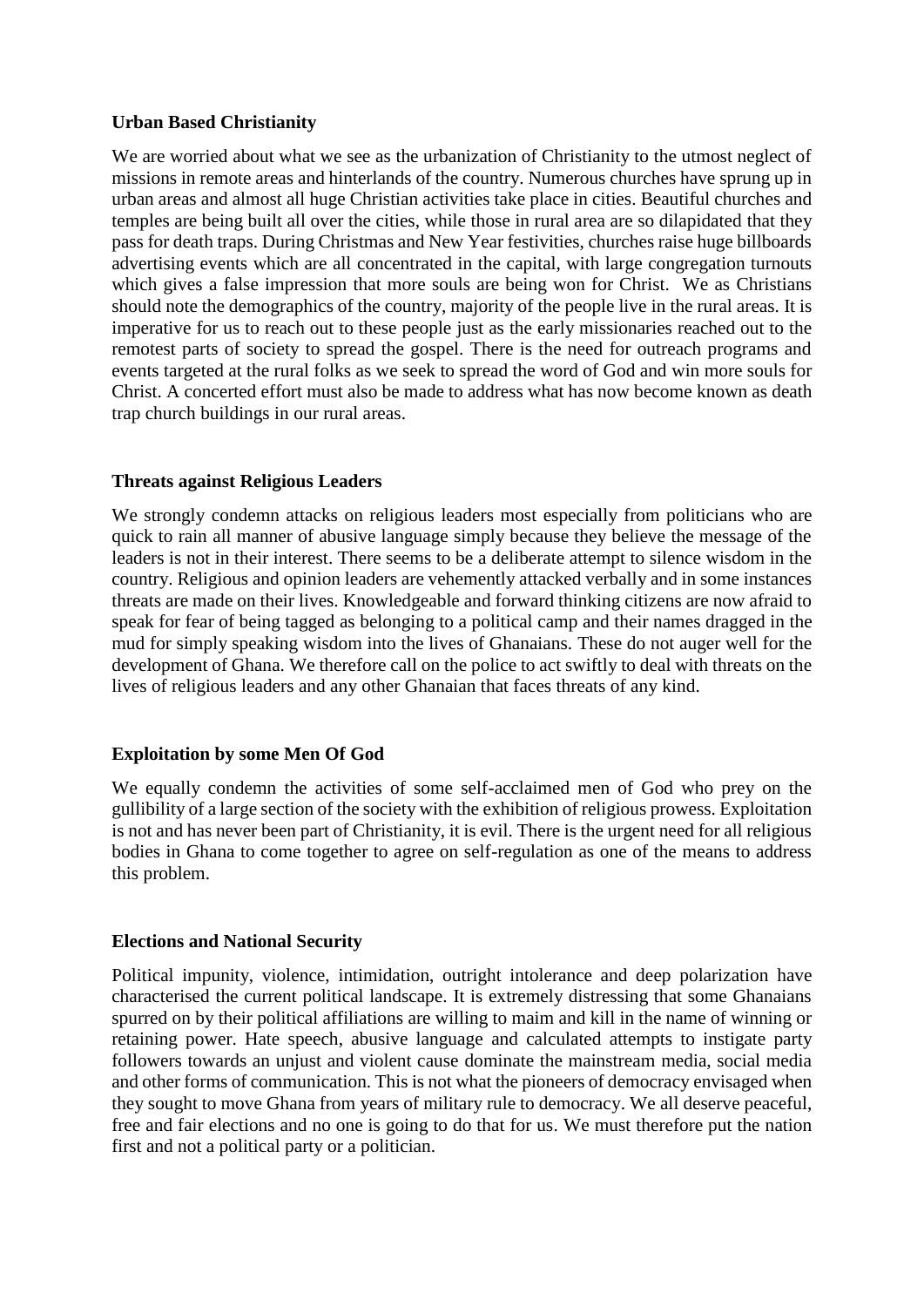# **Urban Based Christianity**

We are worried about what we see as the urbanization of Christianity to the utmost neglect of missions in remote areas and hinterlands of the country. Numerous churches have sprung up in urban areas and almost all huge Christian activities take place in cities. Beautiful churches and temples are being built all over the cities, while those in rural area are so dilapidated that they pass for death traps. During Christmas and New Year festivities, churches raise huge billboards advertising events which are all concentrated in the capital, with large congregation turnouts which gives a false impression that more souls are being won for Christ. We as Christians should note the demographics of the country, majority of the people live in the rural areas. It is imperative for us to reach out to these people just as the early missionaries reached out to the remotest parts of society to spread the gospel. There is the need for outreach programs and events targeted at the rural folks as we seek to spread the word of God and win more souls for Christ. A concerted effort must also be made to address what has now become known as death trap church buildings in our rural areas.

## **Threats against Religious Leaders**

We strongly condemn attacks on religious leaders most especially from politicians who are quick to rain all manner of abusive language simply because they believe the message of the leaders is not in their interest. There seems to be a deliberate attempt to silence wisdom in the country. Religious and opinion leaders are vehemently attacked verbally and in some instances threats are made on their lives. Knowledgeable and forward thinking citizens are now afraid to speak for fear of being tagged as belonging to a political camp and their names dragged in the mud for simply speaking wisdom into the lives of Ghanaians. These do not auger well for the development of Ghana. We therefore call on the police to act swiftly to deal with threats on the lives of religious leaders and any other Ghanaian that faces threats of any kind.

# **Exploitation by some Men Of God**

We equally condemn the activities of some self-acclaimed men of God who prey on the gullibility of a large section of the society with the exhibition of religious prowess. Exploitation is not and has never been part of Christianity, it is evil. There is the urgent need for all religious bodies in Ghana to come together to agree on self-regulation as one of the means to address this problem.

### **Elections and National Security**

Political impunity, violence, intimidation, outright intolerance and deep polarization have characterised the current political landscape. It is extremely distressing that some Ghanaians spurred on by their political affiliations are willing to maim and kill in the name of winning or retaining power. Hate speech, abusive language and calculated attempts to instigate party followers towards an unjust and violent cause dominate the mainstream media, social media and other forms of communication. This is not what the pioneers of democracy envisaged when they sought to move Ghana from years of military rule to democracy. We all deserve peaceful, free and fair elections and no one is going to do that for us. We must therefore put the nation first and not a political party or a politician.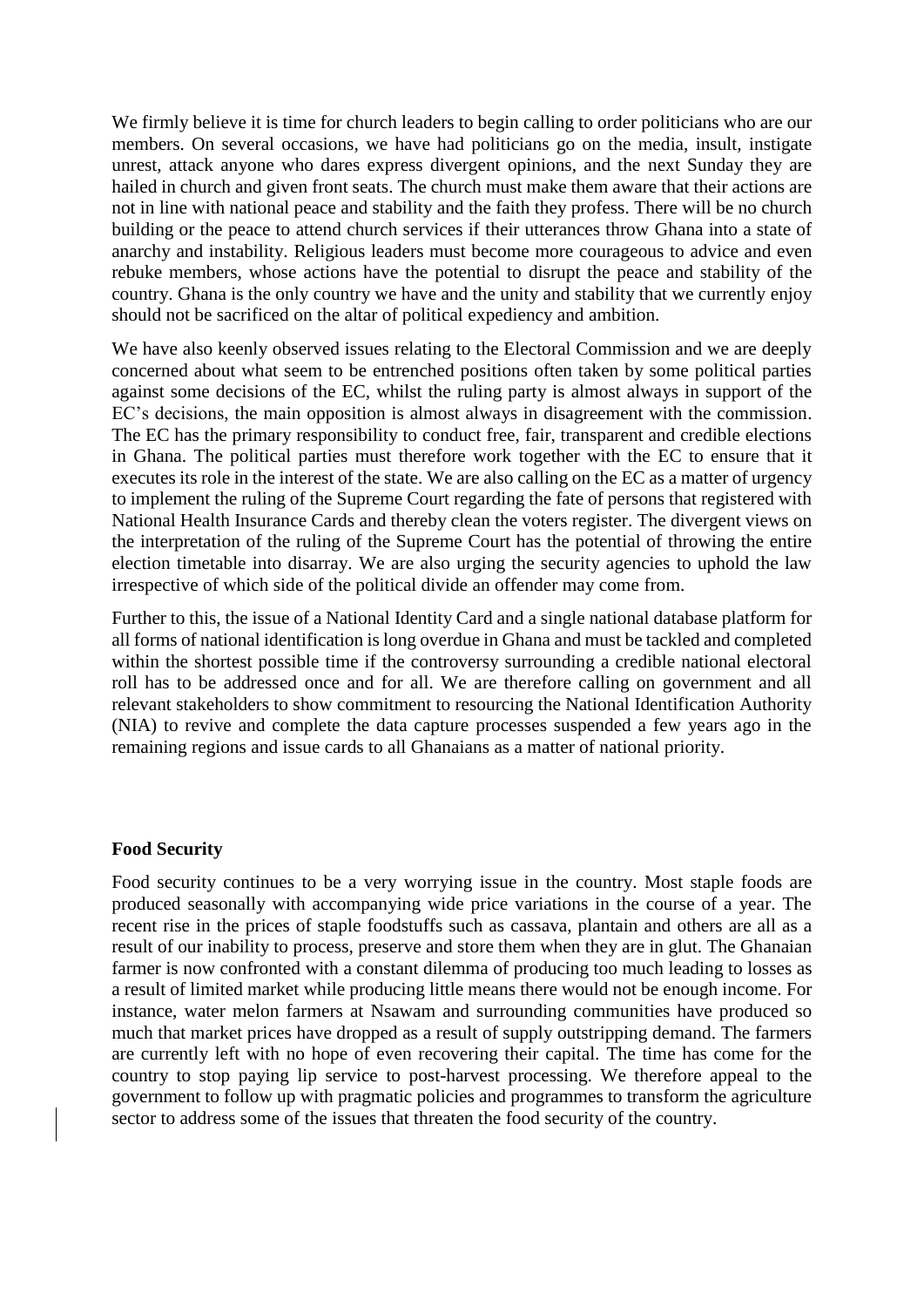We firmly believe it is time for church leaders to begin calling to order politicians who are our members. On several occasions, we have had politicians go on the media, insult, instigate unrest, attack anyone who dares express divergent opinions, and the next Sunday they are hailed in church and given front seats. The church must make them aware that their actions are not in line with national peace and stability and the faith they profess. There will be no church building or the peace to attend church services if their utterances throw Ghana into a state of anarchy and instability. Religious leaders must become more courageous to advice and even rebuke members, whose actions have the potential to disrupt the peace and stability of the country. Ghana is the only country we have and the unity and stability that we currently enjoy should not be sacrificed on the altar of political expediency and ambition.

We have also keenly observed issues relating to the Electoral Commission and we are deeply concerned about what seem to be entrenched positions often taken by some political parties against some decisions of the EC, whilst the ruling party is almost always in support of the EC's decisions, the main opposition is almost always in disagreement with the commission. The EC has the primary responsibility to conduct free, fair, transparent and credible elections in Ghana. The political parties must therefore work together with the EC to ensure that it executes its role in the interest of the state. We are also calling on the EC as a matter of urgency to implement the ruling of the Supreme Court regarding the fate of persons that registered with National Health Insurance Cards and thereby clean the voters register. The divergent views on the interpretation of the ruling of the Supreme Court has the potential of throwing the entire election timetable into disarray. We are also urging the security agencies to uphold the law irrespective of which side of the political divide an offender may come from.

Further to this, the issue of a National Identity Card and a single national database platform for all forms of national identification is long overdue in Ghana and must be tackled and completed within the shortest possible time if the controversy surrounding a credible national electoral roll has to be addressed once and for all. We are therefore calling on government and all relevant stakeholders to show commitment to resourcing the National Identification Authority (NIA) to revive and complete the data capture processes suspended a few years ago in the remaining regions and issue cards to all Ghanaians as a matter of national priority.

#### **Food Security**

Food security continues to be a very worrying issue in the country. Most staple foods are produced seasonally with accompanying wide price variations in the course of a year. The recent rise in the prices of staple foodstuffs such as cassava, plantain and others are all as a result of our inability to process, preserve and store them when they are in glut. The Ghanaian farmer is now confronted with a constant dilemma of producing too much leading to losses as a result of limited market while producing little means there would not be enough income. For instance, water melon farmers at Nsawam and surrounding communities have produced so much that market prices have dropped as a result of supply outstripping demand. The farmers are currently left with no hope of even recovering their capital. The time has come for the country to stop paying lip service to post-harvest processing. We therefore appeal to the government to follow up with pragmatic policies and programmes to transform the agriculture sector to address some of the issues that threaten the food security of the country.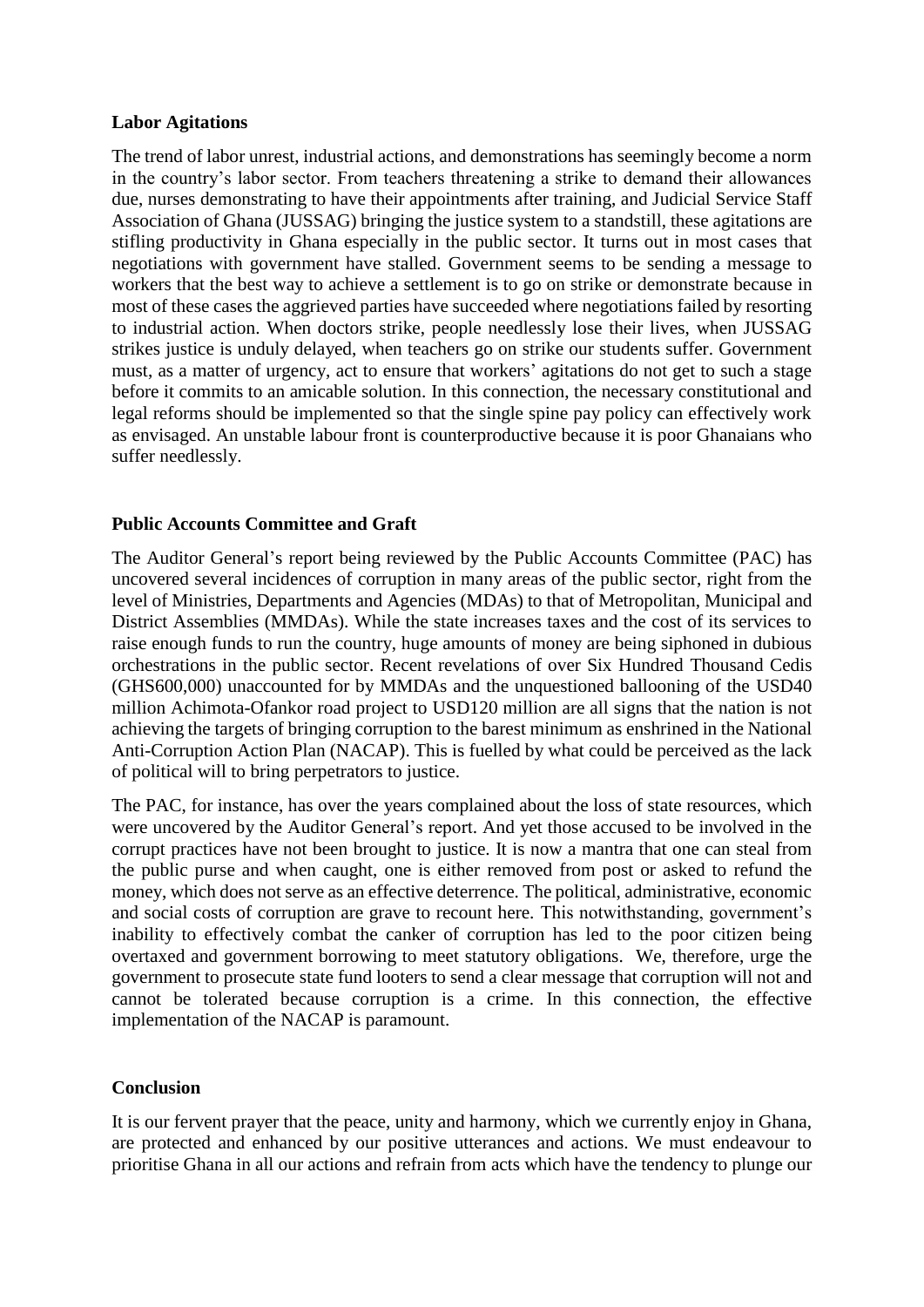# **Labor Agitations**

The trend of labor unrest, industrial actions, and demonstrations has seemingly become a norm in the country's labor sector. From teachers threatening a strike to demand their allowances due, nurses demonstrating to have their appointments after training, and Judicial Service Staff Association of Ghana (JUSSAG) bringing the justice system to a standstill, these agitations are stifling productivity in Ghana especially in the public sector. It turns out in most cases that negotiations with government have stalled. Government seems to be sending a message to workers that the best way to achieve a settlement is to go on strike or demonstrate because in most of these cases the aggrieved parties have succeeded where negotiations failed by resorting to industrial action. When doctors strike, people needlessly lose their lives, when JUSSAG strikes justice is unduly delayed, when teachers go on strike our students suffer. Government must, as a matter of urgency, act to ensure that workers' agitations do not get to such a stage before it commits to an amicable solution. In this connection, the necessary constitutional and legal reforms should be implemented so that the single spine pay policy can effectively work as envisaged. An unstable labour front is counterproductive because it is poor Ghanaians who suffer needlessly.

# **Public Accounts Committee and Graft**

The Auditor General's report being reviewed by the Public Accounts Committee (PAC) has uncovered several incidences of corruption in many areas of the public sector, right from the level of Ministries, Departments and Agencies (MDAs) to that of Metropolitan, Municipal and District Assemblies (MMDAs). While the state increases taxes and the cost of its services to raise enough funds to run the country, huge amounts of money are being siphoned in dubious orchestrations in the public sector. Recent revelations of over Six Hundred Thousand Cedis (GHS600,000) unaccounted for by MMDAs and the unquestioned ballooning of the USD40 million Achimota-Ofankor road project to USD120 million are all signs that the nation is not achieving the targets of bringing corruption to the barest minimum as enshrined in the National Anti-Corruption Action Plan (NACAP). This is fuelled by what could be perceived as the lack of political will to bring perpetrators to justice.

The PAC, for instance, has over the years complained about the loss of state resources, which were uncovered by the Auditor General's report. And yet those accused to be involved in the corrupt practices have not been brought to justice. It is now a mantra that one can steal from the public purse and when caught, one is either removed from post or asked to refund the money, which does not serve as an effective deterrence. The political, administrative, economic and social costs of corruption are grave to recount here. This notwithstanding, government's inability to effectively combat the canker of corruption has led to the poor citizen being overtaxed and government borrowing to meet statutory obligations. We, therefore, urge the government to prosecute state fund looters to send a clear message that corruption will not and cannot be tolerated because corruption is a crime. In this connection, the effective implementation of the NACAP is paramount.

### **Conclusion**

It is our fervent prayer that the peace, unity and harmony, which we currently enjoy in Ghana, are protected and enhanced by our positive utterances and actions. We must endeavour to prioritise Ghana in all our actions and refrain from acts which have the tendency to plunge our